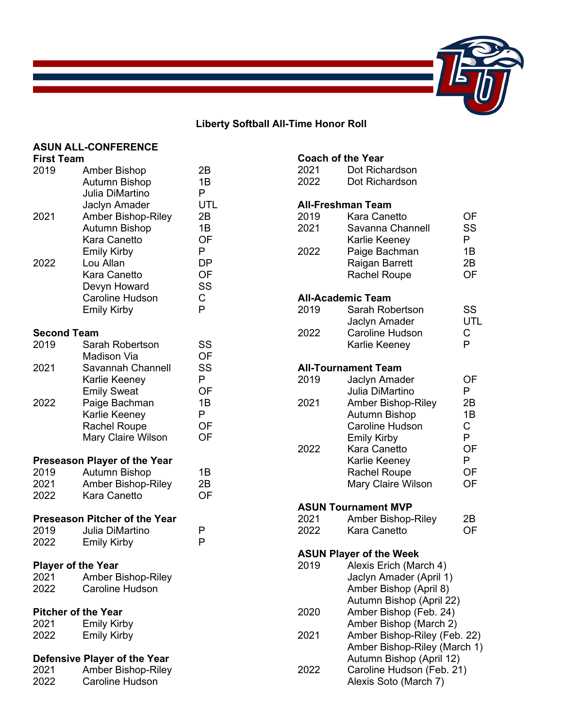

# **Liberty Softball All-Time Honor Roll**

**Coach of the Year**

# **ASUN ALL-CONFERENCE**

| <b>First Team</b>          |                                                                                                              |                                 |
|----------------------------|--------------------------------------------------------------------------------------------------------------|---------------------------------|
| 2019<br>2021               | <b>Amber Bishop</b><br><b>Autumn Bishop</b><br>Julia DiMartino<br>Jaclyn Amader<br><b>Amber Bishop-Riley</b> | 2Β<br>1Β<br>P.<br>UTL<br>2B     |
|                            | <b>Autumn Bishop</b><br>Kara Canetto<br><b>Emily Kirby</b>                                                   | 1B<br>OF<br>P                   |
| 2022                       | Lou Allan<br><b>Kara Canetto</b><br>Devyn Howard<br><b>Caroline Hudson</b><br><b>Emily Kirby</b>             | <b>DP</b><br>OF<br>SS<br>C<br>P |
| <b>Second Team</b>         |                                                                                                              |                                 |
| 2019                       | Sarah Robertson<br><b>Madison Via</b>                                                                        | SS<br>OF                        |
| 2021                       | Savannah Channell<br>Karlie Keeney<br><b>Emily Sweat</b>                                                     | SS<br>P<br>OF                   |
| 2022                       | Paige Bachman<br>Karlie Keeney<br><b>Rachel Roupe</b><br>Mary Claire Wilson                                  | 1B<br>P<br>OF<br>OF             |
|                            | Preseason Player of the Year                                                                                 |                                 |
| 2019                       | <b>Autumn Bishop</b>                                                                                         | 1B                              |
| 2021<br>2022               | <b>Amber Bishop-Riley</b><br><b>Kara Canetto</b>                                                             | 2B<br>OF                        |
|                            | <b>Preseason Pitcher of the Year</b>                                                                         |                                 |
| 2019                       | Julia DiMartino                                                                                              | Р                               |
| 2022                       | <b>Emily Kirby</b>                                                                                           | P                               |
| <b>Player of the Year</b>  |                                                                                                              |                                 |
| 2021                       | <b>Amber Bishop-Riley</b>                                                                                    |                                 |
| 2022                       | <b>Caroline Hudson</b>                                                                                       |                                 |
| <b>Pitcher of the Year</b> |                                                                                                              |                                 |
| 2021                       | <b>Emily Kirby</b>                                                                                           |                                 |

#### **Defensive Player of the Year**

2022 Emily Kirby

| 2021 | .<br><b>Amber Bishop-Riley</b> |
|------|--------------------------------|
| 2022 | <b>Caroline Hudson</b>         |

| 2021<br>2022 | Dot Richardson<br>Dot Richardson                 |          |
|--------------|--------------------------------------------------|----------|
|              | <b>All-Freshman Team</b>                         |          |
| 2019         | <b>Kara Canetto</b>                              | OF       |
| 2021         | Savanna Channell<br>Karlie Keeney                | SS<br>P  |
| 2022         | Paige Bachman                                    | 1B       |
|              | Raigan Barrett                                   | 2B       |
|              | <b>Rachel Roupe</b>                              | OF       |
|              | <b>All-Academic Team</b>                         |          |
| 2019         | Sarah Robertson                                  | SS       |
|              | Jaclyn Amader                                    | UTL      |
| 2022         | <b>Caroline Hudson</b>                           | C        |
|              | Karlie Keeney                                    | P        |
|              | <b>All-Tournament Team</b>                       |          |
| 2019         | Jaclyn Amader                                    | OF       |
|              | Julia DiMartino                                  | P        |
| 2021         | <b>Amber Bishop-Riley</b>                        | 2B<br>1B |
|              | <b>Autumn Bishop</b><br><b>Caroline Hudson</b>   | C.       |
|              | <b>Emily Kirby</b>                               | P        |
| 2022         | Kara Canetto                                     | OF       |
|              | Karlie Keeney                                    | P        |
|              | <b>Rachel Roupe</b>                              | OF       |
|              | Mary Claire Wilson                               | OF       |
|              | <b>ASUN Tournament MVP</b>                       |          |
| 2021         | <b>Amber Bishop-Riley</b>                        | 2Β       |
| 2022         | <b>Kara Canetto</b>                              | OF       |
|              | <b>ASUN Player of the Week</b>                   |          |
| 2019         | Alexis Erich (March 4)                           |          |
|              | Jaclyn Amader (April 1)                          |          |
|              | Amber Bishop (April 8)                           |          |
| 2020         | Autumn Bishop (April 22)                         |          |
|              | Amber Bishop (Feb. 24)<br>Amber Bishop (March 2) |          |
| 2021         | Amber Bishop-Riley (Feb. 22)                     |          |
|              | Amber Bishop-Riley (March 1)                     |          |
|              | Autumn Bishop (April 12)                         |          |
| 2022         | Caroline Hudson (Feb. 21)                        |          |
|              | Alexis Soto (March 7)                            |          |
|              |                                                  |          |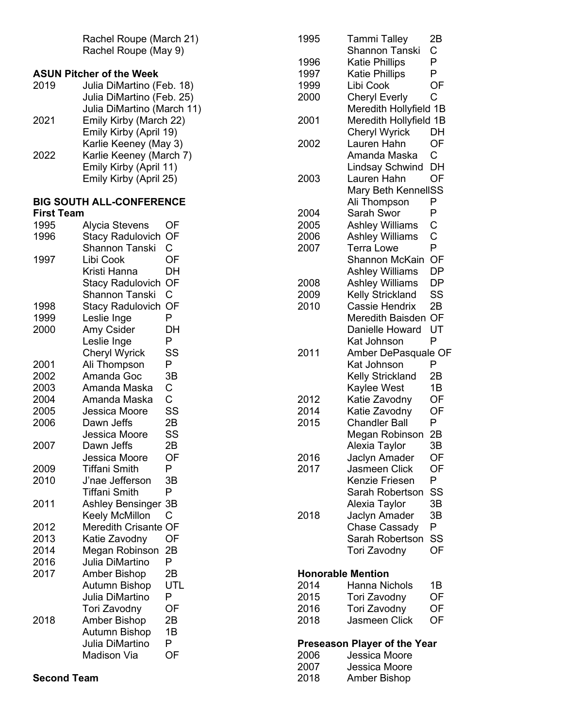Rachel Roupe (March 21) Rachel Roupe (May 9)

# **ASUN Pitcher of the Week**

| 2019 | Julia DiMartino (Feb. 18)  |
|------|----------------------------|
|      | Julia DiMartino (Feb. 25)  |
|      | Julia DiMartino (March 11) |
| 2021 | Emily Kirby (March 22)     |
|      | Emily Kirby (April 19)     |
|      | Karlie Keeney (May 3)      |
| 2022 | Karlie Keeney (March 7)    |
|      | Emily Kirby (April 11)     |
|      | Emily Kirby (April 25)     |
|      |                            |

#### **BIG SOUTH ALL -CONFERENCE First Team**

| 1995 | Alycia Stevens              | OF             |
|------|-----------------------------|----------------|
| 1996 | <b>Stacy Radulovich</b>     | OF             |
|      | Shannon Tanski              | $\mathsf{C}$   |
| 1997 | Libi Cook                   | OF             |
|      | Kristi Hanna                | DH             |
|      | <b>Stacy Radulovich</b>     | OF             |
|      | Shannon Tanski              | Ć              |
| 1998 | <b>Stacy Radulovich</b>     | <b>OF</b>      |
| 1999 | Leslie Inge                 | P              |
| 2000 | Amy Csider                  | DH             |
|      | Leslie Inge                 | P              |
|      | <b>Cheryl Wyrick</b>        | SS             |
| 2001 | Ali Thompson                | P              |
| 2002 | Amanda Goc                  | 3B             |
| 2003 | Amanda Maska                | C              |
| 2004 | Amanda Maska                | $\overline{C}$ |
| 2005 | Jessica Moore               | SS             |
| 2006 | Dawn Jeffs                  | 2B             |
|      | Jessica Moore               | SS             |
| 2007 | Dawn Jeffs                  | 2B             |
|      | Jessica Moore               | OF             |
| 2009 | <b>Tiffani Smith</b>        | P              |
| 2010 | J'nae Jefferson             | 3B             |
|      | <b>Tiffani Smith</b>        | P              |
| 2011 | <b>Ashley Bensinger</b>     | 3B             |
|      | <b>Keely McMillon</b>       | Ć              |
| 2012 | <b>Meredith Crisante OF</b> |                |
| 2013 | Katie Zavodny               | OF             |
| 2014 | Megan Robinson              | 2B             |
| 2016 | Julia DiMartino             | P              |
| 2017 | <b>Amber Bishop</b>         | 2B             |
|      | <b>Autumn Bishop</b>        | UTL            |
|      | Julia DiMartino             | P              |
|      | <b>Tori Zavodny</b>         | OF             |
| 2018 | <b>Amber Bishop</b>         | 2B             |
|      | <b>Autumn Bishop</b>        | 1B             |
|      | Julia DiMartino             | P              |
|      | <b>Madison Via</b>          | OF             |
|      |                             |                |

| 1995 | Tammi Talley               | 2B          |
|------|----------------------------|-------------|
|      | <b>Shannon Tanski</b>      | Ć           |
| 1996 | <b>Katie Phillips</b>      | P           |
| 1997 | <b>Katie Phillips</b>      | P           |
| 1999 | Libi Cook                  | OF          |
| 2000 | <b>Cheryl Everly</b>       | Ć           |
|      | Meredith Hollyfield 1B     |             |
| 2001 | Meredith Hollyfield 1B     |             |
|      | <b>Cheryl Wyrick</b>       | DH          |
| 2002 | Lauren Hahn                | OF          |
|      | Amanda Maska               | C.          |
|      | <b>Lindsay Schwind</b>     | DH          |
| 2003 | Lauren Hahn                | OF          |
|      | <b>Mary Beth KennellSS</b> |             |
|      | Ali Thompson               | P           |
| 2004 | Sarah Swor                 | P           |
| 2005 | <b>Ashley Williams</b>     | $\mathsf C$ |
| 2006 | <b>Ashley Williams</b>     | C<br>P      |
| 2007 | <b>Terra Lowe</b>          |             |
|      | <b>Shannon McKain</b>      | OF          |
|      | <b>Ashley Williams</b>     | DP          |
| 2008 | <b>Ashley Williams</b>     | DP          |
| 2009 | <b>Kelly Strickland</b>    | SS          |
| 2010 | <b>Cassie Hendrix</b>      | 2B          |
|      | Meredith Baisden           | OF          |
|      | <b>Danielle Howard</b>     | UT          |
|      | Kat Johnson                | P           |
| 2011 | Amber DePasquale OF        |             |
|      | Kat Johnson                | Р           |
|      | <b>Kelly Strickland</b>    | 2Β          |
|      | Kaylee West                | 1B          |
| 2012 | Katie Zavodny              | OF          |
| 2014 | Katie Zavodny              | OF          |
| 2015 | <b>Chandler Ball</b>       | P           |
|      | Megan Robinson             | 2B          |
|      | Alexia Taylor              | ЗB          |
| 2016 | Jaclyn Amader              | OF          |
| 2017 | <b>Jasmeen Click</b>       | OF          |
|      | <b>Kenzie Friesen</b>      | Ρ           |
|      | Sarah Robertson            | SS          |
|      | Alexia Taylor              | 3B          |
| 2018 | Jaclyn Amader              | ЗB          |
|      | <b>Chase Cassady</b>       | P           |
|      | Sarah Robertson            | SS          |
|      | <b>Tori Zavodny</b>        | OF          |
|      |                            |             |
|      | <b>Honorable Mention</b>   |             |
| 2014 | <b>Hanna Nichols</b>       | 1B          |
| 2015 | Tori Zavodny               | OF          |
| 2016 | Tori Zavodny               | OF          |
| 2018 | Jasmeen Click              | OF          |

## **Preseason Player of the Year**

| 2006 | Jessica Moore |
|------|---------------|
| 2007 | Jessica Moore |
| 2018 | Amber Bishop  |

**Second Team**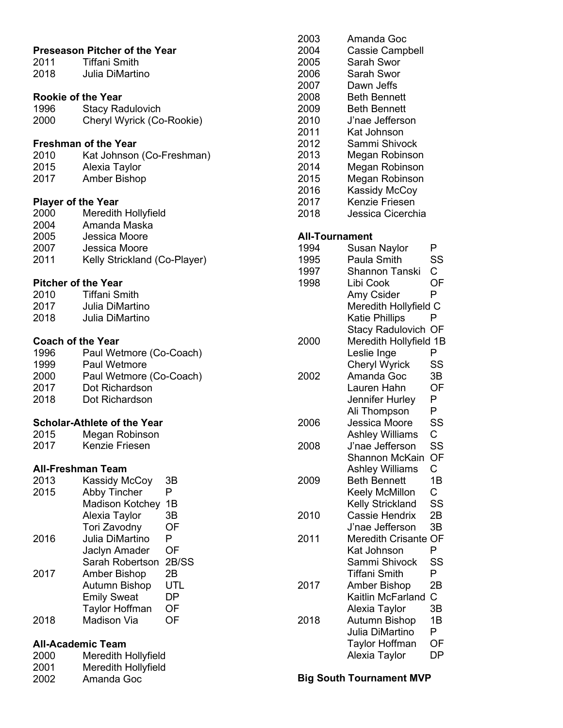| 2011 —<br>2018                                                    | <b>Preseason Pitcher of the Year</b><br><b>Tiffani Smith</b><br><b>Julia DiMartino</b>                                       |
|-------------------------------------------------------------------|------------------------------------------------------------------------------------------------------------------------------|
| <b>Rookie of the Year</b><br>1996<br>2000                         | <b>Stacy Radulovich</b><br>Cheryl Wyrick (Co-Rookie)                                                                         |
| 2010<br>2015<br>2017                                              | <b>Freshman of the Year</b><br>Kat Johnson (Co-Freshman)<br>Alexia Taylor<br><b>Amber Bishop</b>                             |
| <b>Player of the Year</b><br>2000<br>2004<br>2005<br>2007<br>2011 | Meredith Hollyfield<br>Amanda Maska<br>Jessica Moore<br>Jessica Moore<br>Kelly Strickland (Co-Player)                        |
| <b>Pitcher of the Year</b><br>2010 —<br>2017<br>2018              | <b>Tiffani Smith</b><br>Julia DiMartino<br>Julia DiMartino                                                                   |
| <b>Coach of the Year</b><br>1996<br>1999<br>2000<br>2017<br>2018  | Paul Wetmore (Co-Coach)<br><b>Paul Wetmore</b><br>Paul Wetmore (Co-Coach)<br>Dot Richardson<br>Dot Richardson                |
| 2015<br>2017                                                      | <b>Scholar-Athlete of the Year</b><br>Megan Robinson<br><b>Kenzie Friesen</b>                                                |
|                                                                   | All-Freshman Team                                                                                                            |
| 2013<br>2015                                                      | Kassidy McCoy<br>ЗB<br><b>Abby Tincher</b><br>P<br><b>Madison Kotchey</b><br>1Β<br>3B<br>Alexia Taylor<br>Tori Zavodny<br>OF |
| 2016                                                              | Julia DiMartino<br>P<br>Jaclyn Amader<br>OF<br>Sarah Robertson<br>2B/SS                                                      |
| 2017                                                              | 2B<br><b>Amber Bishop</b><br>Autumn Bishop<br>UTL<br>DP<br><b>Emily Sweat</b><br>OF<br><b>Taylor Hoffman</b>                 |
| 2018                                                              | <b>Madison Via</b><br>OF                                                                                                     |
| 2000<br>2001<br>2002                                              | <b>All-Academic Team</b><br>Meredith Hollyfield<br>Meredith Hollyfield<br>Amanda Goc                                         |

| 2003<br>2004<br>2005<br>2006<br>2007<br>2008<br>2009<br>2010<br>2011<br>2012<br>2013<br>2014 | Amanda Goc<br><b>Cassie Campbell</b><br>Sarah Swor<br>Sarah Swor<br>Dawn Jeffs<br><b>Beth Bennett</b><br><b>Beth Bennett</b><br>J'nae Jefferson<br>Kat Johnson<br>Sammi Shivock<br>Megan Robinson<br>Megan Robinson |    |
|----------------------------------------------------------------------------------------------|---------------------------------------------------------------------------------------------------------------------------------------------------------------------------------------------------------------------|----|
| 2015                                                                                         | Megan Robinson                                                                                                                                                                                                      |    |
| 2016                                                                                         | Kassidy McCoy                                                                                                                                                                                                       |    |
| 2017                                                                                         | Kenzie Friesen                                                                                                                                                                                                      |    |
| 2018                                                                                         | Jessica Cicerchia                                                                                                                                                                                                   |    |
|                                                                                              |                                                                                                                                                                                                                     |    |
| All-Tournament                                                                               |                                                                                                                                                                                                                     |    |
| 1994                                                                                         | <b>Susan Naylor</b>                                                                                                                                                                                                 | P  |
| 1995                                                                                         | Paula Smith                                                                                                                                                                                                         | SS |
| 1997                                                                                         | <b>Shannon Tanski</b>                                                                                                                                                                                               | С  |
| 1998                                                                                         | Libi Cook                                                                                                                                                                                                           | OF |
|                                                                                              | Amy Csider                                                                                                                                                                                                          | P  |
|                                                                                              | Meredith Hollyfield C                                                                                                                                                                                               |    |
|                                                                                              | <b>Katie Phillips</b>                                                                                                                                                                                               | P  |
|                                                                                              | <b>Stacy Radulovich OF</b>                                                                                                                                                                                          |    |
|                                                                                              |                                                                                                                                                                                                                     |    |
| 2000                                                                                         | Meredith Hollyfield 1B                                                                                                                                                                                              |    |
|                                                                                              | Leslie Inge                                                                                                                                                                                                         | P  |
|                                                                                              | <b>Cheryl Wyrick</b>                                                                                                                                                                                                | SS |
| 2002                                                                                         | Amanda Goc                                                                                                                                                                                                          | 3B |
|                                                                                              | Lauren Hahn                                                                                                                                                                                                         | OF |
|                                                                                              | Jennifer Hurley                                                                                                                                                                                                     | P  |
|                                                                                              | Ali Thompson                                                                                                                                                                                                        | P  |
| 2006                                                                                         | Jessica Moore                                                                                                                                                                                                       | SS |
|                                                                                              | <b>Ashley Williams</b>                                                                                                                                                                                              | C  |
| 2008                                                                                         | J'nae Jefferson                                                                                                                                                                                                     | SS |
|                                                                                              | Shannon McKain                                                                                                                                                                                                      | OF |
|                                                                                              | <b>Ashley Williams</b>                                                                                                                                                                                              | C  |
| 2009                                                                                         | <b>Beth Bennett</b>                                                                                                                                                                                                 | 1B |
|                                                                                              | Keely McMillon                                                                                                                                                                                                      | C  |
|                                                                                              | <b>Kelly Strickland</b>                                                                                                                                                                                             | SS |
| 2010                                                                                         | <b>Cassie Hendrix</b>                                                                                                                                                                                               | 2Β |
|                                                                                              | J'nae Jefferson                                                                                                                                                                                                     | 3B |
| 2011                                                                                         | <b>Meredith Crisante</b>                                                                                                                                                                                            | OF |
|                                                                                              | Kat Johnson                                                                                                                                                                                                         | Ρ  |
|                                                                                              | Sammi Shivock                                                                                                                                                                                                       | SS |
|                                                                                              | Tiffani Smith                                                                                                                                                                                                       | P  |
| 2017                                                                                         | Amber Bishop                                                                                                                                                                                                        | 2Β |
|                                                                                              | Kaitlin McFarland                                                                                                                                                                                                   | C  |
|                                                                                              | Alexia Taylor                                                                                                                                                                                                       | ЗB |
| 2018                                                                                         | Autumn Bishop                                                                                                                                                                                                       | 1B |
|                                                                                              | Julia DiMartino                                                                                                                                                                                                     | Ρ  |
|                                                                                              | <b>Taylor Hoffman</b>                                                                                                                                                                                               | ОF |
|                                                                                              | Alexia Taylor                                                                                                                                                                                                       | DP |
|                                                                                              |                                                                                                                                                                                                                     |    |

**Big South Tournament MVP**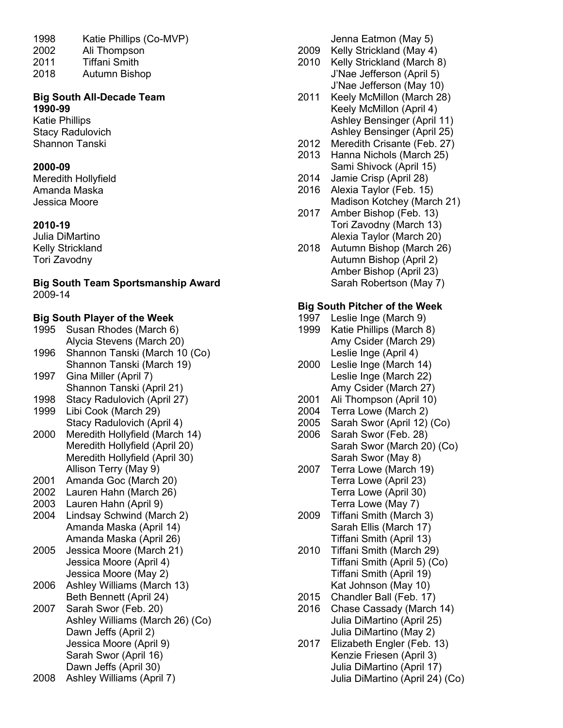- 1998 Katie Phillips (Co-MVP) 2002 Ali Thompson
- 2011 Tiffani Smith
- 2018 Autumn Bishop

### **Big South All-Decade Team 1990-99**

Katie Phillips Stacy Radulovich Shannon Tanski

### **2000-09**

Meredith Hollyfield Amanda Maska Jessica Moore

# **2010-19**

Julia DiMartino Kelly Strickland Tori Zavodny

**Big South Team Sportsmanship Award** 2009-14

# **Big South Player of the Week**

1995 Susan Rhodes (March 6) Alycia Stevens (March 20) 1996 Shannon Tanski (March 10 (Co) Shannon Tanski (March 19) 1997 Gina Miller (April 7) Shannon Tanski (April 21) 1998 Stacy Radulovich (April 27) 1999 Libi Cook (March 29) Stacy Radulovich (April 4) 2000 Meredith Hollyfield (March 14) Meredith Hollyfield (April 20) Meredith Hollyfield (April 30) Allison Terry (May 9) 2001 Amanda Goc (March 20) 2002 Lauren Hahn (March 26) 2003 Lauren Hahn (April 9) 2004 Lindsay Schwind (March 2) Amanda Maska (April 14) Amanda Maska (April 26)

- 2005 Jessica Moore (March 21) Jessica Moore (April 4) Jessica Moore (May 2)
- 2006 Ashley Williams (March 13) Beth Bennett (April 24)
- 2007 Sarah Swor (Feb. 20) Ashley Williams (March 26) (Co) Dawn Jeffs (April 2) Jessica Moore (April 9) Sarah Swor (April 16) Dawn Jeffs (April 30)
- 2008 Ashley Williams (April 7)

Jenna Eatmon (May 5)

- 2009 Kelly Strickland (May 4)
- 2010 Kelly Strickland (March 8) J'Nae Jefferson (April 5) J'Nae Jefferson (May 10)
- 2011 Keely McMillon (March 28) Keely McMillon (April 4) Ashley Bensinger (April 11) Ashley Bensinger (April 25)
- 2012 Meredith Crisante (Feb. 27)
- 2013 Hanna Nichols (March 25) Sami Shivock (April 15)
- 2014 Jamie Crisp (April 28)
- 2016 Alexia Taylor (Feb. 15) Madison Kotchey (March 21)
- 2017 Amber Bishop (Feb. 13) Tori Zavodny (March 13) Alexia Taylor (March 20)
- 2018 Autumn Bishop (March 26) Autumn Bishop (April 2) Amber Bishop (April 23) Sarah Robertson (May 7)

# **Big South Pitcher of the Week**

- 1997 Leslie Inge (March 9)
- 1999 Katie Phillips (March 8) Amy Csider (March 29) Leslie Inge (April 4)
- 2000 Leslie Inge (March 14) Leslie Inge (March 22) Amy Csider (March 27)
- 2001 Ali Thompson (April 10)
- 2004 Terra Lowe (March 2)
- 2005 Sarah Swor (April 12) (Co)
- 2006 Sarah Swor (Feb. 28) Sarah Swor (March 20) (Co) Sarah Swor (May 8)
- 2007 Terra Lowe (March 19) Terra Lowe (April 23) Terra Lowe (April 30) Terra Lowe (May 7)
- 2009 Tiffani Smith (March 3) Sarah Ellis (March 17) Tiffani Smith (April 13)
- 2010 Tiffani Smith (March 29) Tiffani Smith (April 5) (Co) Tiffani Smith (April 19) Kat Johnson (May 10)
- 2015 Chandler Ball (Feb. 17)
- 2016 Chase Cassady (March 14) Julia DiMartino (April 25) Julia DiMartino (May 2)
- 2017 Elizabeth Engler (Feb. 13) Kenzie Friesen (April 3) Julia DiMartino (April 17) Julia DiMartino (April 24) (Co)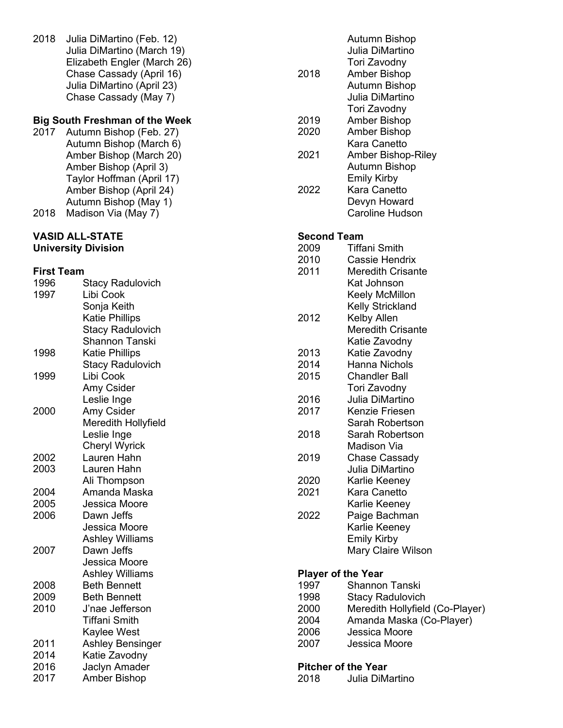2018 Julia DiMartino (Feb. 12) Julia DiMartino (March 19) Elizabeth Engler (March 26 ) Chase Cassady (April 16) Julia DiMartino (April 23) Chase Cassady (May 7)

### **Big South Freshman of the Week**

2017 Autumn Bishop (Feb. 27) Autumn Bishop (March 6) Amber Bishop (March 20) Amber Bishop (April 3) Taylor Hoffman (April 17) Amber Bishop (April 24) Autumn Bishop (May 1) 2018 Madison Via (May 7)

#### **VASID ALL -STATE University Division**

# **First Team**

| 1996 | <b>Stacy Radulovich</b> |  |
|------|-------------------------|--|
| 1997 | Libi Cook               |  |
|      | Sonja Keith             |  |
|      | <b>Katie Phillips</b>   |  |
|      | <b>Stacy Radulovich</b> |  |
|      | Shannon Tanski          |  |
| 1998 | <b>Katie Phillips</b>   |  |
|      | <b>Stacy Radulovich</b> |  |
| 1999 | Libi Cook               |  |
|      | Amy Csider              |  |
|      | Leslie Inge             |  |
| 2000 | Amy Csider              |  |
|      | Meredith Hollyfield     |  |
|      | Leslie Inge             |  |
|      | <b>Cheryl Wyrick</b>    |  |
| 2002 | Lauren Hahn             |  |
| 2003 | Lauren Hahn             |  |
|      | Ali Thompson            |  |
| 2004 | Amanda Maska            |  |
| 2005 | Jessica Moore           |  |
| 2006 | Dawn Jeffs              |  |
|      | Jessica Moore           |  |
|      | <b>Ashley Williams</b>  |  |
| 2007 | Dawn Jeffs              |  |
|      | Jessica Moore           |  |
|      | <b>Ashley Williams</b>  |  |
| 2008 | <b>Beth Bennett</b>     |  |
| 2009 | <b>Beth Bennett</b>     |  |
| 2010 | J'nae Jefferson         |  |
|      | <b>Tiffani Smith</b>    |  |
|      | Kaylee West             |  |
| 2011 | <b>Ashley Bensinger</b> |  |
| 2014 | Katie Zavodny           |  |
| 2016 | Jaclyn Amader           |  |
| 2017 | <b>Amber Bishop</b>     |  |

|                           | Autumn Bishop                   |
|---------------------------|---------------------------------|
|                           | Julia DiMartino                 |
|                           | Tori Zavodny                    |
| 2018                      | <b>Amber Bishop</b>             |
|                           | <b>Autumn Bishop</b>            |
|                           | Julia DiMartino                 |
|                           | Tori Zavodny                    |
| 2019                      | Amber Bishop                    |
| 2020                      | <b>Amber Bishop</b>             |
|                           | Kara Canetto                    |
| 2021                      | <b>Amber Bishop-Riley</b>       |
|                           | Autumn Bishop                   |
|                           | <b>Emily Kirby</b>              |
| 2022                      | Kara Canetto                    |
|                           | Devyn Howard                    |
|                           | <b>Caroline Hudson</b>          |
|                           |                                 |
| <b>Second Team</b>        |                                 |
| 2009                      | <b>Tiffani Smith</b>            |
| 2010                      | Cassie Hendrix                  |
| 2011                      | Meredith Crisante               |
|                           | Kat Johnson                     |
|                           |                                 |
|                           | Keely McMillon                  |
|                           | Kelly Strickland                |
| 2012                      | Kelby Allen                     |
|                           | <b>Meredith Crisante</b>        |
|                           | Katie Zavodny                   |
| 2013                      | Katie Zavodny                   |
| 2014                      | <b>Hanna Nichols</b>            |
| 2015                      | <b>Chandler Ball</b>            |
|                           | Tori Zavodny                    |
| 2016                      | Julia DiMartino                 |
| 2017                      | Kenzie Friesen                  |
|                           | Sarah Robertson                 |
| 2018                      | Sarah Robertson                 |
|                           | Madison Via                     |
| 2019                      | Chase Cassady                   |
|                           | Julia DiMartino                 |
| 2020                      | Karlie Keeney                   |
| 2021                      | Kara Canetto                    |
|                           | Karlie Keeney                   |
| 2022                      | Paige Bachman                   |
|                           | Karlie Keeney                   |
|                           | <b>Emily Kirby</b>              |
|                           | Mary Claire Wilson              |
|                           |                                 |
| <b>Player of the Year</b> |                                 |
| 1997                      | <b>Shannon Tanski</b>           |
| 1998                      | <b>Stacy Radulovich</b>         |
| 2000                      | Meredith Hollyfield (Co-Player) |
| 2004                      | Amanda Maska (Co-Player)        |
| 2006                      | Jessica Moore                   |
| 2007                      | Jessica Moore                   |
|                           |                                 |
|                           | <b>Pitcher of the Year</b>      |
|                           |                                 |

2018 Julia DiMartino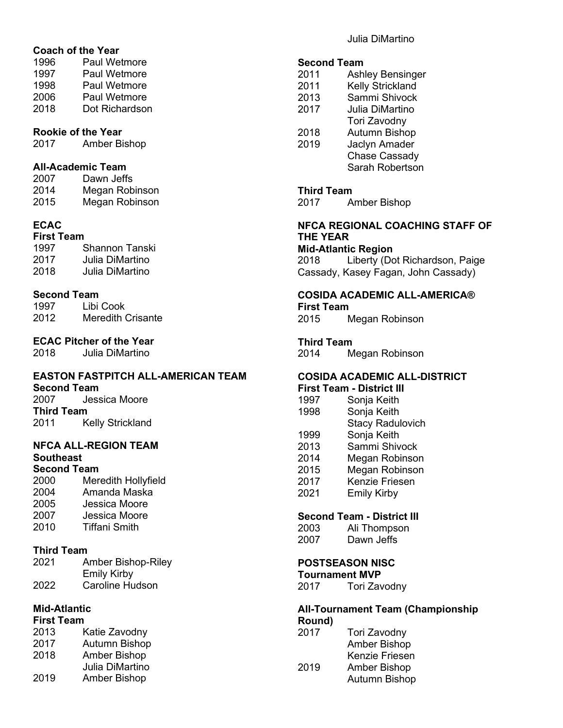### **Coach of the Year**

| 1996 | Paul Wetmore        |
|------|---------------------|
| 1997 | Paul Wetmore        |
| 1998 | <b>Paul Wetmore</b> |
| 2006 | <b>Paul Wetmore</b> |
| 2018 | Dot Richardson      |
|      |                     |

#### **Rookie of the Year**

2017 Amber Bishop

#### **All-Academic Team**

| 2007 | Dawn Jeffs     |
|------|----------------|
| 2014 | Megan Robinson |
| 2015 | Megan Robinson |

## **ECAC**

| <b>First Team</b> |                 |  |
|-------------------|-----------------|--|
| 1997              | Shannon Tanski  |  |
| 2017              | Julia DiMartino |  |
| 2018              | Julia DiMartino |  |

#### **Second Team**

| 1997 | Libi Cook                |
|------|--------------------------|
| 2012 | <b>Meredith Crisante</b> |

# **ECAC Pitcher of the Year**

2018 Julia DiMartino

# **EASTON FASTPITCH ALL-AMERICAN TEAM**

**Second Team**<br>2007 Jess Jessica Moore **Third Team**<br>2011 K **Kelly Strickland** 

#### **NFCA ALL-REGION TEAM Southeast Second Team**

| OBCONU TBANI |                     |
|--------------|---------------------|
| 2000         | Meredith Hollyfield |
| 2004         | Amanda Maska        |
| 2005         | Jessica Moore       |
| 2007         | Jessica Moore       |
| 2010         | Tiffani Smith       |
|              |                     |

#### **Third Team**

| 2021 | <b>Amber Bishop-Riley</b> |
|------|---------------------------|
|      | <b>Emily Kirby</b>        |
| 2022 | Caroline Hudson           |

#### **Mid-Atlantic First Team**

| ו וואסנו ו פעווו |                      |
|------------------|----------------------|
| 2013             | Katie Zavodny        |
| 2017             | <b>Autumn Bishop</b> |
| 2018             | Amber Bishop         |
|                  | Julia DiMartino      |

| 2019 | <b>Amber Bishop</b> |
|------|---------------------|

Julia DiMartino

# **Second Team**<br>2011 Ash

- 2011 Ashley Bensinger<br>2011 Kelly Strickland
- **Kelly Strickland**
- 2013 Sammi Shivock 2017 Julia DiMartino
- Tori Zavodny
- 2018 Autumn Bishop<br>2019 Jaclyn Amader **Jaclyn Amader** Chase Cassady Sarah Robertson

## **Third Team**

2017 Amber Bishop

#### **NFCA REGIONAL COACHING STAFF OF THE YEAR**

**Mid-Atlantic Region** 2018 Liberty (Dot Richardson, Paige

Cassady, Kasey Fagan, John Cassady)

#### **COSIDA ACADEMIC ALL-AMERICA® First Team**

2015 Megan Robinson

**Third Team**<br>2014 M

Megan Robinson

# **COSIDA ACADEMIC ALL-DISTRICT**

- **First Team - District III**
- Sonja Keith 1998 Sonja Keith
- Stacy Radulovich
- 1999 Sonja Keith
- 2013 Sammi Shivock
- 2014 Megan Robinson
- Megan Robinson
- 2017 Kenzie Friesen
- 2021 Emily Kirby

### **Second Team - District III**

| 2003 | Ali Thompson |
|------|--------------|
| 2007 | Dawn Jeffs   |

# **POSTSEASON NISC**

**Tournament MVP**<br>2017 **Tori Zay** 

Tori Zavodny

#### **All-Tournament Team (Championship Round)**

| 2017 | Tori Zavodny         |
|------|----------------------|
|      | <b>Amber Bishop</b>  |
|      | Kenzie Friesen       |
| 2019 | Amber Bishop         |
|      | <b>Autumn Bishop</b> |